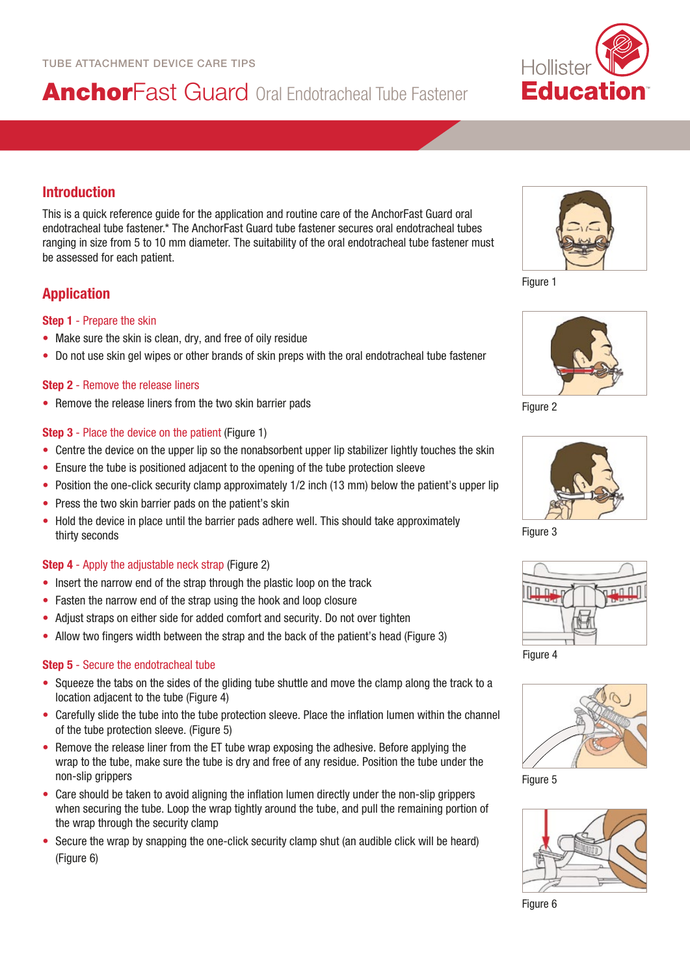# AnchorFast Guard Oral Endotracheal Tube Fastener



# Introduction

This is a quick reference guide for the application and routine care of the AnchorFast Guard oral endotracheal tube fastener.\* The AnchorFast Guard tube fastener secures oral endotracheal tubes ranging in size from 5 to 10 mm diameter. The suitability of the oral endotracheal tube fastener must be assessed for each patient.

# Application

### Step 1 - Prepare the skin

- Make sure the skin is clean, dry, and free of oily residue
- Do not use skin gel wipes or other brands of skin preps with the oral endotracheal tube fastener

### **Step 2** - Remove the release liners

• Remove the release liners from the two skin barrier pads

### **Step 3** - Place the device on the patient (Figure 1)

- Centre the device on the upper lip so the nonabsorbent upper lip stabilizer lightly touches the skin
- Ensure the tube is positioned adjacent to the opening of the tube protection sleeve
- Position the one-click security clamp approximately 1/2 inch (13 mm) below the patient's upper lip
- Press the two skin barrier pads on the patient's skin
- Hold the device in place until the barrier pads adhere well. This should take approximately thirty seconds

### Step 4 - Apply the adjustable neck strap (Figure 2)

- Insert the narrow end of the strap through the plastic loop on the track
- Fasten the narrow end of the strap using the hook and loop closure
- Adjust straps on either side for added comfort and security. Do not over tighten
- Allow two fingers width between the strap and the back of the patient's head (Figure 3)

### Step 5 - Secure the endotracheal tube

- Squeeze the tabs on the sides of the gliding tube shuttle and move the clamp along the track to a location adiacent to the tube (Figure 4)
- Carefully slide the tube into the tube protection sleeve. Place the inflation lumen within the channel of the tube protection sleeve. (Figure 5)
- Remove the release liner from the ET tube wrap exposing the adhesive. Before applying the wrap to the tube, make sure the tube is dry and free of any residue. Position the tube under the non-slip grippers
- Care should be taken to avoid aligning the inflation lumen directly under the non-slip grippers when securing the tube. Loop the wrap tightly around the tube, and pull the remaining portion of the wrap through the security clamp
- Secure the wrap by snapping the one-click security clamp shut (an audible click will be heard) (Figure 6)

Figure 1



Figure 2



Figure 3



Figure 4



Figure 5



Figure 6